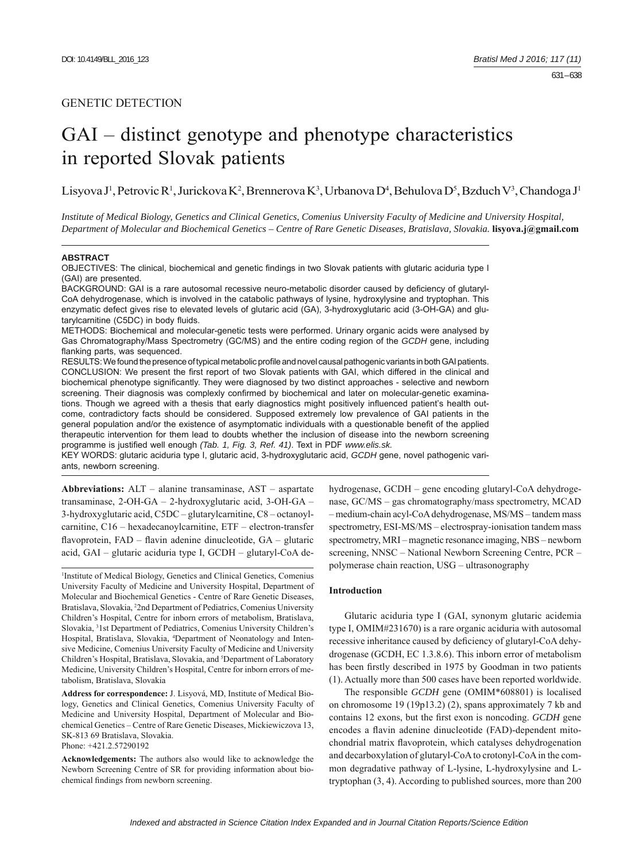# GAI – distinct genotype and phenotype characteristics in reported Slovak patients

Lisyova J<sup>1</sup>, Petrovic R<sup>1</sup>, Jurickova K<sup>2</sup>, Brennerova K<sup>3</sup>, Urbanova D<sup>4</sup>, Behulova D<sup>5</sup>, Bzduch V<sup>3</sup>, Chandoga J<sup>1</sup>

*Institute of Medical Biology, Genetics and Clinical Genetics, Comenius University Faculty of Medicine and University Hospital, Department of Molecular and Biochemical Genetics – Centre of Rare Genetic Diseases, Bratislava, Slovakia.* **lisyova.j@gmail.com**

#### **ABSTRACT**

OBJECTIVES: The clinical, biochemical and genetic findings in two Slovak patients with glutaric aciduria type I (GAI) are presented.

BACKGROUND: GAI is a rare autosomal recessive neuro-metabolic disorder caused by deficiency of glutaryl-CoA dehydrogenase, which is involved in the catabolic pathways of lysine, hydroxylysine and tryptophan. This enzymatic defect gives rise to elevated levels of glutaric acid (GA), 3-hydroxyglutaric acid (3-OH-GA) and glutarylcarnitine (C5DC) in body fluids.

METHODS: Biochemical and molecular-genetic tests were performed. Urinary organic acids were analysed by Gas Chromatography/Mass Spectrometry (GC/MS) and the entire coding region of the *GCDH* gene, including flanking parts, was sequenced.

RESULTS: We found the presence of typical metabolic profile and novel causal pathogenic variants in both GAI patients. CONCLUSION: We present the first report of two Slovak patients with GAI, which differed in the clinical and biochemical phenotype significantly. They were diagnosed by two distinct approaches - selective and newborn screening. Their diagnosis was complexly confirmed by biochemical and later on molecular-genetic examinations. Though we agreed with a thesis that early diagnostics might positively influenced patient's health outcome, contradictory facts should be considered. Supposed extremely low prevalence of GAI patients in the general population and/or the existence of asymptomatic individuals with a questionable benefi t of the applied therapeutic intervention for them lead to doubts whether the inclusion of disease into the newborn screening programme is justified well enough (Tab. 1, Fig. 3, Ref. 41). Text in PDF www.elis.sk.

KEY WORDS: glutaric aciduria type I, glutaric acid, 3-hydroxyglutaric acid, *GCDH* gene, novel pathogenic variants, newborn screening.

**Abbreviations:** ALT – alanine transaminase, AST – aspartate transaminase, 2-OH-GA – 2-hydroxyglutaric acid, 3-OH-GA – 3-hydroxyglutaric acid, C5DC – glutarylcarnitine, C8 – octanoylcarnitine, C16 – hexadecanoylcarnitine, ETF – electron-transfer flavoprotein,  $FAD -$  flavin adenine dinucleotide,  $GA -$  glutaric acid, GAI – glutaric aciduria type I, GCDH – glutaryl-CoA de-

1 Institute of Medical Biology, Genetics and Clinical Genetics, Comenius University Faculty of Medicine and University Hospital, Department of Molecular and Biochemical Genetics - Centre of Rare Genetic Diseases, Bratislava, Slovakia, <sup>2</sup>2nd Department of Pediatrics, Comenius University Children's Hospital, Centre for inborn errors of metabolism, Bratislava, Slovakia, 3 1st Department of Pediatrics, Comenius University Children's Hospital, Bratislava, Slovakia, 4 Department of Neonatology and Intensive Medicine, Comenius University Faculty of Medicine and University Children's Hospital, Bratislava, Slovakia, and <sup>5</sup>Department of Laboratory Medicine, University Children's Hospital, Centre for inborn errors of metabolism, Bratislava, Slovakia

**Address for correspondence:** J. Lisyová, MD, Institute of Medical Biology, Genetics and Clinical Genetics, Comenius University Faculty of Medicine and University Hospital, Department of Molecular and Biochemical Genetics – Centre of Rare Genetic Diseases, Mickiewiczova 13, SK-813 69 Bratislava, Slovakia.

Phone: +421.2.57290192

**Acknowledgements:** The authors also would like to acknowledge the Newborn Screening Centre of SR for providing information about biochemical findings from newborn screening.

hydrogenase, GCDH – gene encoding glutaryl-CoA dehydrogenase, GC/MS – gas chromatography/mass spectrometry, MCAD – medium-chain acyl-CoA dehydrogenase, MS/MS – tandem mass spectrometry, ESI-MS/MS – electrospray-ionisation tandem mass spectrometry, MRI – magnetic resonance imaging, NBS – newborn screening, NNSC – National Newborn Screening Centre, PCR – polymerase chain reaction, USG – ultrasonography

## **Introduction**

Glutaric aciduria type I (GAI, synonym glutaric acidemia type I, OMIM#231670) is a rare organic aciduria with autosomal recessive inheritance caused by deficiency of glutaryl-CoA dehydrogenase (GCDH, EC 1.3.8.6). This inborn error of metabolism has been firstly described in 1975 by Goodman in two patients (1). Actually more than 500 cases have been reported worldwide.

The responsible *GCDH* gene (OMIM\*608801) is localised on chromosome 19 (19p13.2) (2), spans approximately 7 kb and contains 12 exons, but the first exon is noncoding. *GCDH* gene encodes a flavin adenine dinucleotide (FAD)-dependent mitochondrial matrix flavoprotein, which catalyses dehydrogenation and decarboxylation of glutaryl-CoA to crotonyl-CoA in the common degradative pathway of L-lysine, L-hydroxylysine and Ltryptophan (3, 4). According to published sources, more than 200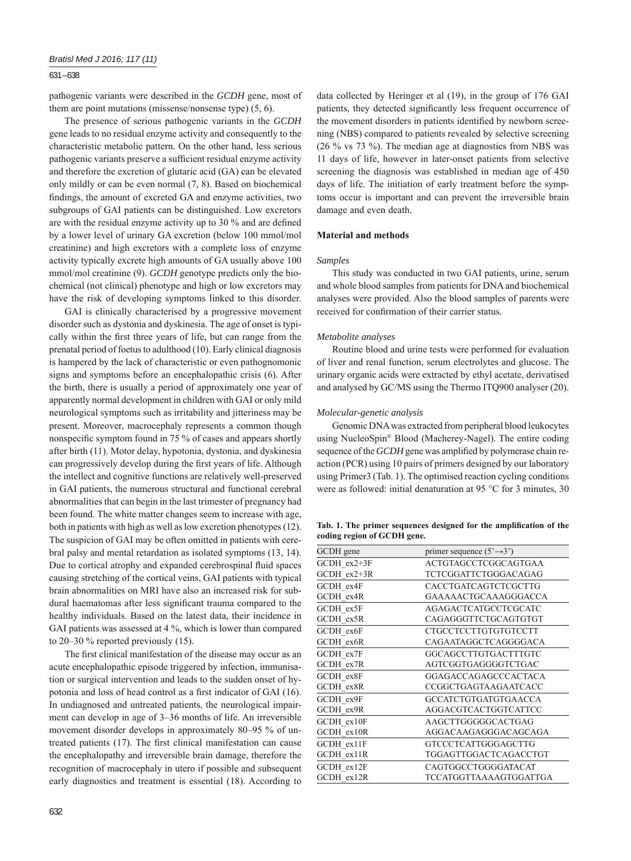# 631 – 638

pathogenic variants were described in the *GCDH* gene, most of them are point mutations (missense/nonsense type) (5, 6).

The presence of serious pathogenic variants in the *GCDH* gene leads to no residual enzyme activity and consequently to the characteristic metabolic pattern. On the other hand, less serious pathogenic variants preserve a sufficient residual enzyme activity and therefore the excretion of glutaric acid (GA) can be elevated only mildly or can be even normal (7, 8). Based on biochemical findings, the amount of excreted GA and enzyme activities, two subgroups of GAI patients can be distinguished. Low excretors are with the residual enzyme activity up to  $30\%$  and are defined by a lower level of urinary GA excretion (below 100 mmol/mol creatinine) and high excretors with a complete loss of enzyme activity typically excrete high amounts of GA usually above 100 mmol/mol creatinine (9). *GCDH* genotype predicts only the biochemical (not clinical) phenotype and high or low excretors may have the risk of developing symptoms linked to this disorder.

GAI is clinically characterised by a progressive movement disorder such as dystonia and dyskinesia. The age of onset is typically within the first three years of life, but can range from the prenatal period of foetus to adulthood (10). Early clinical diagnosis is hampered by the lack of characteristic or even pathognomonic signs and symptoms before an encephalopathic crisis (6). After the birth, there is usually a period of approximately one year of apparently normal development in children with GAI or only mild neurological symptoms such as irritability and jitteriness may be present. Moreover, macrocephaly represents a common though nonspecific symptom found in 75 % of cases and appears shortly after birth (11). Motor delay, hypotonia, dystonia, and dyskinesia can progressively develop during the first years of life. Although the intellect and cognitive functions are relatively well-preserved in GAI patients, the numerous structural and functional cerebral abnormalities that can begin in the last trimester of pregnancy had been found. The white matter changes seem to increase with age, both in patients with high as well as low excretion phenotypes (12). The suspicion of GAI may be often omitted in patients with cerebral palsy and mental retardation as isolated symptoms (13, 14). Due to cortical atrophy and expanded cerebrospinal fluid spaces causing stretching of the cortical veins, GAI patients with typical brain abnormalities on MRI have also an increased risk for subdural haematomas after less significant trauma compared to the healthy individuals. Based on the latest data, their incidence in GAI patients was assessed at 4 %, which is lower than compared to 20–30 % reported previously (15).

The first clinical manifestation of the disease may occur as an acute encephalopathic episode triggered by infection, immunisation or surgical intervention and leads to the sudden onset of hypotonia and loss of head control as a first indicator of GAI (16). In undiagnosed and untreated patients, the neurological impairment can develop in age of 3–36 months of life. An irreversible movement disorder develops in approximately 80–95 % of untreated patients (17). The first clinical manifestation can cause the encephalopathy and irreversible brain damage, therefore the recognition of macrocephaly in utero if possible and subsequent early diagnostics and treatment is essential (18). According to

data collected by Heringer et al (19), in the group of 176 GAI patients, they detected significantly less frequent occurrence of the movement disorders in patients identified by newborn screening (NBS) compared to patients revealed by selective screening (26 % vs 73 %). The median age at diagnostics from NBS was 11 days of life, however in later-onset patients from selective screening the diagnosis was established in median age of 450 days of life. The initiation of early treatment before the symptoms occur is important and can prevent the irreversible brain damage and even death.

# **Material and methods**

## *Samples*

This study was conducted in two GAI patients, urine, serum and whole blood samples from patients for DNA and biochemical analyses were provided. Also the blood samples of parents were received for confirmation of their carrier status.

## *Metabolite analyses*

Routine blood and urine tests were performed for evaluation of liver and renal function, serum electrolytes and glucose. The urinary organic acids were extracted by ethyl acetate, derivatised and analysed by GC/MS using the Thermo ITQ900 analyser (20).

## *Molecular-genetic analysis*

Genomic DNA was extracted from peripheral blood leukocytes using NucleoSpin® Blood (Macherey-Nagel). The entire coding sequence of the *GCDH* gene was amplified by polymerase chain reaction (PCR) using 10 pairs of primers designed by our laboratory using Primer3 (Tab. 1). The optimised reaction cycling conditions were as followed: initial denaturation at 95 °C for 3 minutes, 30

Tab. 1. The primer sequences designed for the amplification of the **coding region of GCDH gene.**

| GCDH gene   | primer sequence $(5' \rightarrow 3')$ |
|-------------|---------------------------------------|
| GCDH ex2+3F | ACTGTAGCCTCGGCAGTGAA                  |
| GCDH ex2+3R | TCTCGGATTCTGGGACAGAG                  |
| GCDH ex4F   | CACCTGATCAGTCTCGCTTG                  |
| GCDH ex4R   | GAAAAACTGCAAAGGGACCA                  |
| GCDH ex5F   | AGAGACTCATGCCTCGCATC                  |
| GCDH ex5R   | CAGAGGGTTCTGCAGTGTGT                  |
| GCDH ex6F   | <b>CTGCCTCCTTGTGTGTCCTT</b>           |
| GCDH ex6R   | CAGAATAGGCTCAGGGGACA                  |
| GCDH ex7F   | GGCAGCCTTGTGACTTTGTC                  |
| GCDH ex7R   | AGTCGGTGAGGGGTCTGAC                   |
| GCDH ex8F   | <b>GGAGACCAGAGCCCACTACA</b>           |
| GCDH ex8R   | CCGGCTGAGTAAGAATCACC                  |
| GCDH ex9F   | <b>GCCATCTGTGATGTGAACCA</b>           |
| GCDH ex9R   | AGGACGTCACTGGTCATTCC                  |
| GCDH ex10F  | AAGCTTGGGGGCACTGAG                    |
| GCDH ex10R  | AGGACAAGAGGGACAGCAGA                  |
| GCDH ex11F  | GTCCCTCATTGGGAGCTTG                   |
| GCDH ex11R  | TGGAGTTGGACTCAGACCTGT                 |
| GCDH ex12F  | CAGTGGCCTGGGGATACAT                   |
| GCDH ex12R  | TCCATGGTTAAAAGTGGATTGA                |
|             |                                       |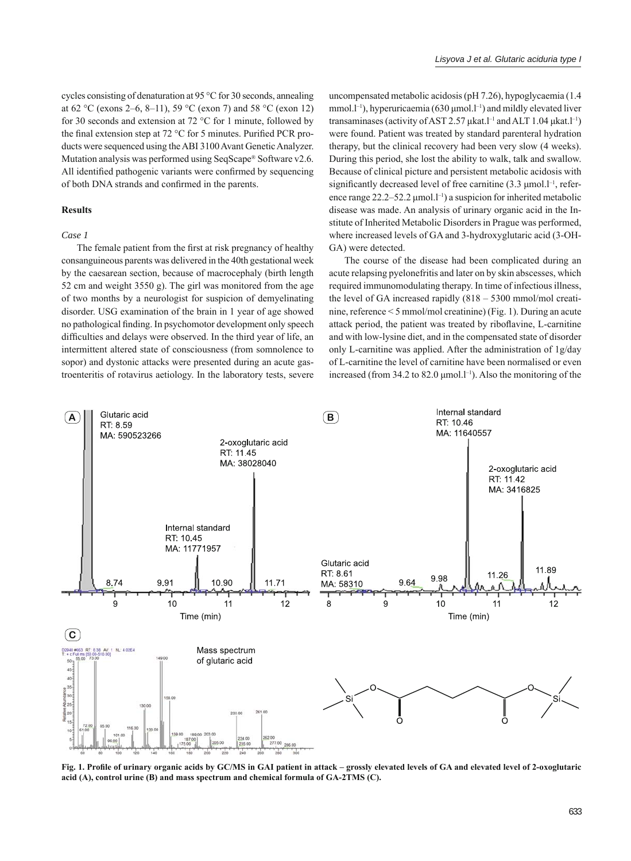cycles consisting of denaturation at 95 °C for 30 seconds, annealing at 62 °C (exons 2–6, 8–11), 59 °C (exon 7) and 58 °C (exon 12) for 30 seconds and extension at 72 °C for 1 minute, followed by the final extension step at 72  $\degree$ C for 5 minutes. Purified PCR products were sequenced using the ABI 3100 Avant Genetic Analyzer. Mutation analysis was performed using SeqScape® Software v2.6. All identified pathogenic variants were confirmed by sequencing of both DNA strands and confirmed in the parents.

## **Results**

#### *Case 1*

The female patient from the first at risk pregnancy of healthy consanguineous parents was delivered in the 40th gestational week by the caesarean section, because of macrocephaly (birth length 52 cm and weight 3550 g). The girl was monitored from the age of two months by a neurologist for suspicion of demyelinating disorder. USG examination of the brain in 1 year of age showed no pathological finding. In psychomotor development only speech difficulties and delays were observed. In the third year of life, an intermittent altered state of consciousness (from somnolence to sopor) and dystonic attacks were presented during an acute gastroenteritis of rotavirus aetiology. In the laboratory tests, severe

uncompensated metabolic acidosis (pH 7.26), hypoglycaemia (1.4 mmol.l<sup>-1</sup>), hyperuricaemia (630  $\mu$ mol.l<sup>-1</sup>) and mildly elevated liver transaminases (activity of AST 2.57 μkat.l<sup>-1</sup> and ALT 1.04 μkat.l<sup>-1</sup>) were found. Patient was treated by standard parenteral hydration therapy, but the clinical recovery had been very slow (4 weeks). During this period, she lost the ability to walk, talk and swallow. Because of clinical picture and persistent metabolic acidosis with significantly decreased level of free carnitine  $(3.3 \text{ µmol.}^{\text{-1}})$ , reference range  $22.2-52.2 \mu$  mol.<sup>1-1</sup>) a suspicion for inherited metabolic disease was made. An analysis of urinary organic acid in the Institute of Inherited Metabolic Disorders in Prague was performed, where increased levels of GA and 3-hydroxyglutaric acid (3-OH-GA) were detected.

The course of the disease had been complicated during an acute relapsing pyelonefritis and later on by skin abscesses, which required immunomodulating therapy. In time of infectious illness, the level of GA increased rapidly (818 – 5300 mmol/mol creatinine, reference < 5 mmol/mol creatinine) (Fig. 1). During an acute attack period, the patient was treated by riboflavine, L-carnitine and with low-lysine diet, and in the compensated state of disorder only L-carnitine was applied. After the administration of 1g/day of L-carnitine the level of carnitine have been normalised or even increased (from 34.2 to 82.0  $\mu$ mol.l<sup>-1</sup>). Also the monitoring of the



Fig. 1. Profile of urinary organic acids by GC/MS in GAI patient in attack – grossly elevated levels of GA and elevated level of 2-oxoglutaric **acid (A), control urine (B) and mass spectrum and chemical formula of GA-2TMS (C).**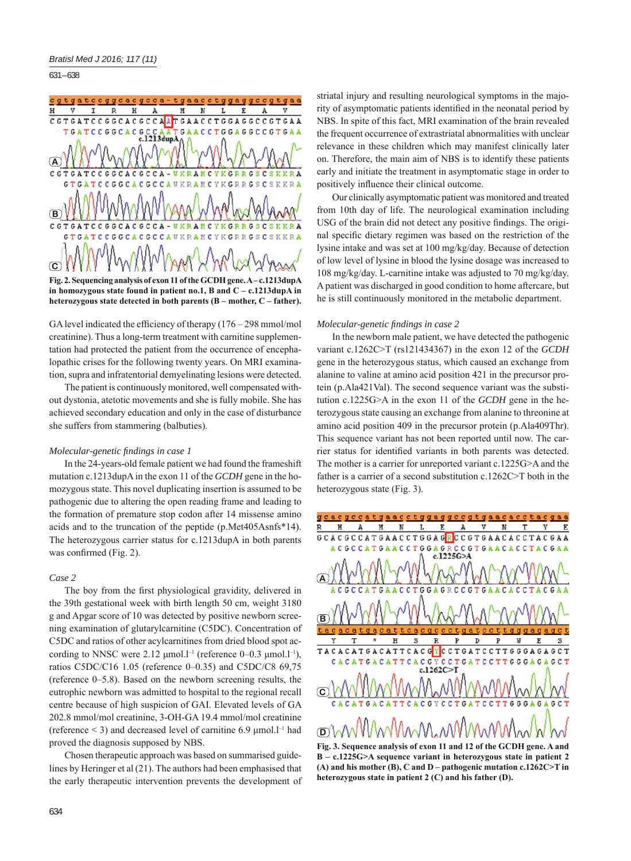631 – 638



GA level indicated the efficiency of therapy  $(176 - 298 \text{ mmol/mol})$ creatinine). Thus a long-term treatment with carnitine supplementation had protected the patient from the occurrence of encephalopathic crises for the following twenty years. On MRI examination, supra and infratentorial demyelinating lesions were detected.

The patient is continuously monitored, well compensated without dystonia, atetotic movements and she is fully mobile. She has achieved secondary education and only in the case of disturbance she suffers from stammering (balbuties).

# *Molecular-genetic fi ndings in case 1*

In the 24-years-old female patient we had found the frameshift mutation c.1213dupA in the exon 11 of the *GCDH* gene in the homozygous state. This novel duplicating insertion is assumed to be pathogenic due to altering the open reading frame and leading to the formation of premature stop codon after 14 missense amino acids and to the truncation of the peptide (p.Met405Asnfs\*14). The heterozygous carrier status for c.1213dupA in both parents was confirmed (Fig. 2).

## *Case 2*

The boy from the first physiological gravidity, delivered in the 39th gestational week with birth length 50 cm, weight 3180 g and Apgar score of 10 was detected by positive newborn screening examination of glutarylcarnitine (C5DC). Concentration of C5DC and ratios of other acylcarnitines from dried blood spot according to NNSC were  $2.12 \mu$ mol.l<sup>-1</sup> (reference 0–0.3  $\mu$ mol.l<sup>-1</sup>), ratios C5DC/C16 1.05 (reference 0–0.35) and C5DC/C8 69,75 (reference 0–5.8). Based on the newborn screening results, the eutrophic newborn was admitted to hospital to the regional recall centre because of high suspicion of GAI. Elevated levels of GA 202.8 mmol/mol creatinine, 3-OH-GA 19.4 mmol/mol creatinine (reference  $\leq$  3) and decreased level of carnitine 6.9  $\mu$ mol.<sup>[-1</sup> had proved the diagnosis supposed by NBS.

Chosen therapeutic approach was based on summarised guidelines by Heringer et al (21). The authors had been emphasised that the early therapeutic intervention prevents the development of

striatal injury and resulting neurological symptoms in the majority of asymptomatic patients identified in the neonatal period by NBS. In spite of this fact, MRI examination of the brain revealed the frequent occurrence of extrastriatal abnormalities with unclear relevance in these children which may manifest clinically later on. Therefore, the main aim of NBS is to identify these patients early and initiate the treatment in asymptomatic stage in order to positively influence their clinical outcome.

Our clinically asymptomatic patient was monitored and treated from 10th day of life. The neurological examination including USG of the brain did not detect any positive findings. The original specific dietary regimen was based on the restriction of the lysine intake and was set at 100 mg/kg/day. Because of detection of low level of lysine in blood the lysine dosage was increased to 108 mg/kg/day. L-carnitine intake was adjusted to 70 mg/kg/day. A patient was discharged in good condition to home aftercare, but he is still continuously monitored in the metabolic department.

## *Molecular-genetic fi ndings in case 2*

In the newborn male patient, we have detected the pathogenic variant c.1262C˃T (rs121434367) in the exon 12 of the *GCDH* gene in the heterozygous status, which caused an exchange from alanine to valine at amino acid position 421 in the precursor protein (p.Ala421Val). The second sequence variant was the substitution c.1225G˃A in the exon 11 of the *GCDH* gene in the heterozygous state causing an exchange from alanine to threonine at amino acid position 409 in the precursor protein (p.Ala409Thr). This sequence variant has not been reported until now. The carrier status for identified variants in both parents was detected. The mother is a carrier for unreported variant c.1225G>A and the father is a carrier of a second substitution c.1262C>T both in the heterozygous state (Fig. 3).

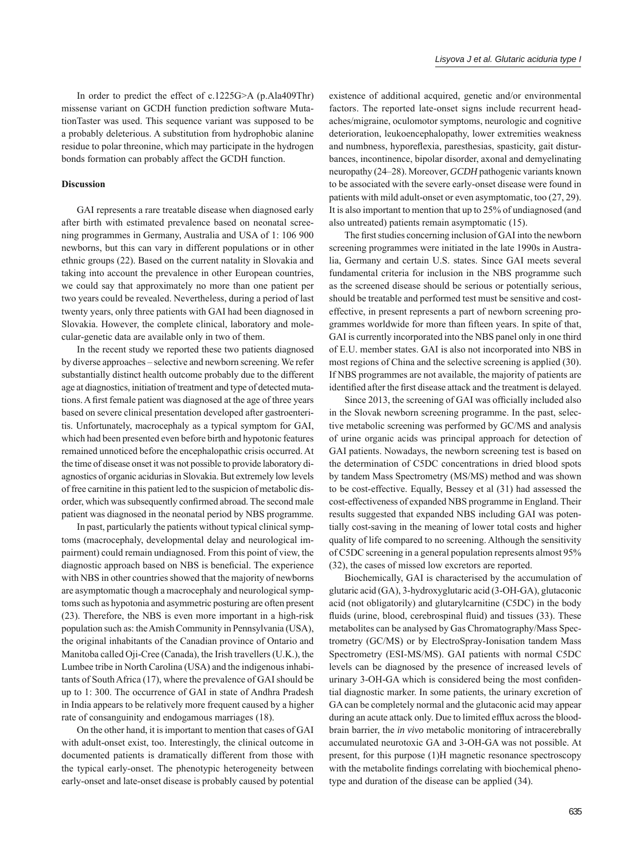In order to predict the effect of c.1225G>A (p.Ala409Thr) missense variant on GCDH function prediction software MutationTaster was used. This sequence variant was supposed to be a probably deleterious. A substitution from hydrophobic alanine residue to polar threonine, which may participate in the hydrogen bonds formation can probably affect the GCDH function.

## **Discussion**

GAI represents a rare treatable disease when diagnosed early after birth with estimated prevalence based on neonatal screening programmes in Germany, Australia and USA of 1: 106 900 newborns, but this can vary in different populations or in other ethnic groups (22). Based on the current natality in Slovakia and taking into account the prevalence in other European countries, we could say that approximately no more than one patient per two years could be revealed. Nevertheless, during a period of last twenty years, only three patients with GAI had been diagnosed in Slovakia. However, the complete clinical, laboratory and molecular-genetic data are available only in two of them.

In the recent study we reported these two patients diagnosed by diverse approaches – selective and newborn screening. We refer substantially distinct health outcome probably due to the different age at diagnostics, initiation of treatment and type of detected mutations. A first female patient was diagnosed at the age of three years based on severe clinical presentation developed after gastroenteritis. Unfortunately, macrocephaly as a typical symptom for GAI, which had been presented even before birth and hypotonic features remained unnoticed before the encephalopathic crisis occurred. At the time of disease onset it was not possible to provide laboratory diagnostics of organic acidurias in Slovakia. But extremely low levels of free carnitine in this patient led to the suspicion of metabolic disorder, which was subsequently confirmed abroad. The second male patient was diagnosed in the neonatal period by NBS programme.

In past, particularly the patients without typical clinical symptoms (macrocephaly, developmental delay and neurological impairment) could remain undiagnosed. From this point of view, the diagnostic approach based on NBS is beneficial. The experience with NBS in other countries showed that the majority of newborns are asymptomatic though a macrocephaly and neurological symptoms such as hypotonia and asymmetric posturing are often present (23). Therefore, the NBS is even more important in a high-risk population such as: the Amish Community in Pennsylvania (USA), the original inhabitants of the Canadian province of Ontario and Manitoba called Oji-Cree (Canada), the Irish travellers (U.K.), the Lumbee tribe in North Carolina (USA) and the indigenous inhabitants of South Africa (17), where the prevalence of GAI should be up to 1: 300. The occurrence of GAI in state of Andhra Pradesh in India appears to be relatively more frequent caused by a higher rate of consanguinity and endogamous marriages (18).

On the other hand, it is important to mention that cases of GAI with adult-onset exist, too. Interestingly, the clinical outcome in documented patients is dramatically different from those with the typical early-onset. The phenotypic heterogeneity between early-onset and late-onset disease is probably caused by potential

existence of additional acquired, genetic and/or environmental factors. The reported late-onset signs include recurrent headaches/migraine, oculomotor symptoms, neurologic and cognitive deterioration, leukoencephalopathy, lower extremities weakness and numbness, hyporeflexia, paresthesias, spasticity, gait disturbances, incontinence, bipolar disorder, axonal and demyelinating neuropathy (24–28). Moreover, *GCDH* pathogenic variants known to be associated with the severe early-onset disease were found in patients with mild adult-onset or even asymptomatic, too (27, 29). It is also important to mention that up to 25% of undiagnosed (and also untreated) patients remain asymptomatic (15).

The first studies concerning inclusion of GAI into the newborn screening programmes were initiated in the late 1990s in Australia, Germany and certain U.S. states. Since GAI meets several fundamental criteria for inclusion in the NBS programme such as the screened disease should be serious or potentially serious, should be treatable and performed test must be sensitive and costeffective, in present represents a part of newborn screening programmes worldwide for more than fifteen years. In spite of that, GAI is currently incorporated into the NBS panel only in one third of E.U. member states. GAI is also not incorporated into NBS in most regions of China and the selective screening is applied (30). If NBS programmes are not available, the majority of patients are identified after the first disease attack and the treatment is delayed.

Since 2013, the screening of GAI was officially included also in the Slovak newborn screening programme. In the past, selective metabolic screening was performed by GC/MS and analysis of urine organic acids was principal approach for detection of GAI patients. Nowadays, the newborn screening test is based on the determination of C5DC concentrations in dried blood spots by tandem Mass Spectrometry (MS/MS) method and was shown to be cost-effective. Equally, Bessey et al (31) had assessed the cost-effectiveness of expanded NBS programme in England. Their results suggested that expanded NBS including GAI was potentially cost-saving in the meaning of lower total costs and higher quality of life compared to no screening. Although the sensitivity of C5DC screening in a general population represents almost 95% (32), the cases of missed low excretors are reported.

Biochemically, GAI is characterised by the accumulation of glutaric acid (GA), 3-hydroxyglutaric acid (3-OH-GA), glutaconic acid (not obligatorily) and glutarylcarnitine (C5DC) in the body fluids (urine, blood, cerebrospinal fluid) and tissues (33). These metabolites can be analysed by Gas Chromatography/Mass Spectrometry (GC/MS) or by ElectroSpray-Ionisation tandem Mass Spectrometry (ESI-MS/MS). GAI patients with normal C5DC levels can be diagnosed by the presence of increased levels of urinary 3-OH-GA which is considered being the most confidential diagnostic marker. In some patients, the urinary excretion of GA can be completely normal and the glutaconic acid may appear during an acute attack only. Due to limited efflux across the bloodbrain barrier, the *in vivo* metabolic monitoring of intracerebrally accumulated neurotoxic GA and 3-OH-GA was not possible. At present, for this purpose (1)H magnetic resonance spectroscopy with the metabolite findings correlating with biochemical phenotype and duration of the disease can be applied (34).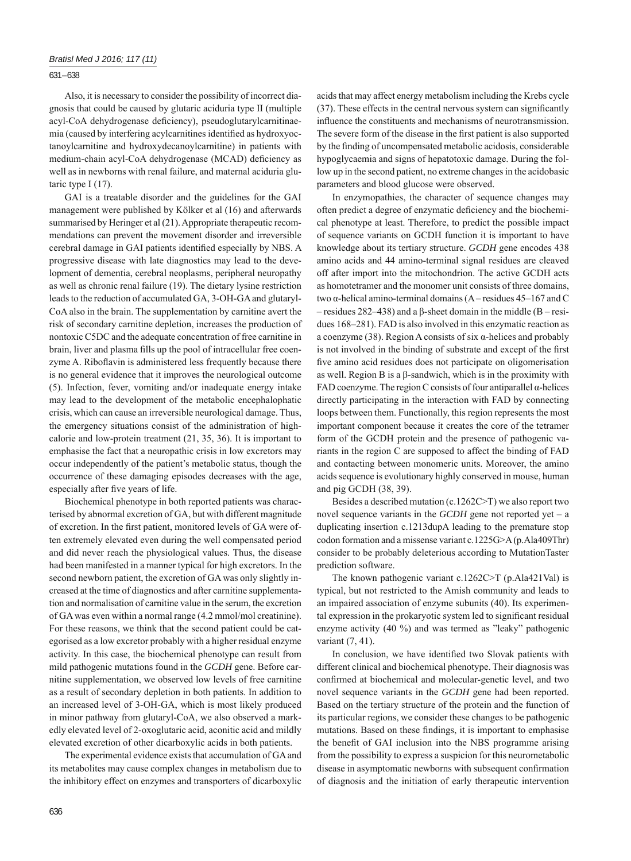631 – 638

Also, it is necessary to consider the possibility of incorrect diagnosis that could be caused by glutaric aciduria type II (multiple acyl-CoA dehydrogenase deficiency), pseudoglutarylcarnitinaemia (caused by interfering acylcarnitines identified as hydroxyoctanoylcarnitine and hydroxydecanoylcarnitine) in patients with medium-chain acyl-CoA dehydrogenase (MCAD) deficiency as well as in newborns with renal failure, and maternal aciduria glutaric type I (17).

GAI is a treatable disorder and the guidelines for the GAI management were published by Kölker et al (16) and afterwards summarised by Heringer et al (21). Appropriate therapeutic recommendations can prevent the movement disorder and irreversible cerebral damage in GAI patients identified especially by NBS. A progressive disease with late diagnostics may lead to the development of dementia, cerebral neoplasms, peripheral neuropathy as well as chronic renal failure (19). The dietary lysine restriction leads to the reduction of accumulated GA, 3-OH-GA and glutaryl-CoA also in the brain. The supplementation by carnitine avert the risk of secondary carnitine depletion, increases the production of nontoxic C5DC and the adequate concentration of free carnitine in brain, liver and plasma fills up the pool of intracellular free coenzyme A. Riboflavin is administered less frequently because there is no general evidence that it improves the neurological outcome (5). Infection, fever, vomiting and/or inadequate energy intake may lead to the development of the metabolic encephalophatic crisis, which can cause an irreversible neurological damage. Thus, the emergency situations consist of the administration of highcalorie and low-protein treatment (21, 35, 36). It is important to emphasise the fact that a neuropathic crisis in low excretors may occur independently of the patient's metabolic status, though the occurrence of these damaging episodes decreases with the age, especially after five years of life.

Biochemical phenotype in both reported patients was characterised by abnormal excretion of GA, but with different magnitude of excretion. In the first patient, monitored levels of GA were often extremely elevated even during the well compensated period and did never reach the physiological values. Thus, the disease had been manifested in a manner typical for high excretors. In the second newborn patient, the excretion of GA was only slightly increased at the time of diagnostics and after carnitine supplementation and normalisation of carnitine value in the serum, the excretion of GA was even within a normal range (4.2 mmol/mol creatinine). For these reasons, we think that the second patient could be categorised as a low excretor probably with a higher residual enzyme activity. In this case, the biochemical phenotype can result from mild pathogenic mutations found in the *GCDH* gene. Before carnitine supplementation, we observed low levels of free carnitine as a result of secondary depletion in both patients. In addition to an increased level of 3-OH-GA, which is most likely produced in minor pathway from glutaryl-CoA, we also observed a markedly elevated level of 2-oxoglutaric acid, aconitic acid and mildly elevated excretion of other dicarboxylic acids in both patients.

The experimental evidence exists that accumulation of GA and its metabolites may cause complex changes in metabolism due to the inhibitory effect on enzymes and transporters of dicarboxylic acids that may affect energy metabolism including the Krebs cycle  $(37)$ . These effects in the central nervous system can significantly influence the constituents and mechanisms of neurotransmission. The severe form of the disease in the first patient is also supported by the finding of uncompensated metabolic acidosis, considerable hypoglycaemia and signs of hepatotoxic damage. During the follow up in the second patient, no extreme changes in the acidobasic parameters and blood glucose were observed.

In enzymopathies, the character of sequence changes may often predict a degree of enzymatic deficiency and the biochemical phenotype at least. Therefore, to predict the possible impact of sequence variants on GCDH function it is important to have knowledge about its tertiary structure. *GCDH* gene encodes 438 amino acids and 44 amino-terminal signal residues are cleaved off after import into the mitochondrion. The active GCDH acts as homotetramer and the monomer unit consists of three domains, two α-helical amino-terminal domains (A – residues 45–167 and C – residues 282–438) and a β-sheet domain in the middle (B – residues 168–281). FAD is also involved in this enzymatic reaction as a coenzyme (38). Region A consists of six α-helices and probably is not involved in the binding of substrate and except of the first five amino acid residues does not participate on oligomerisation as well. Region B is a β-sandwich, which is in the proximity with FAD coenzyme. The region C consists of four antiparallel  $\alpha$ -helices directly participating in the interaction with FAD by connecting loops between them. Functionally, this region represents the most important component because it creates the core of the tetramer form of the GCDH protein and the presence of pathogenic variants in the region C are supposed to affect the binding of FAD and contacting between monomeric units. Moreover, the amino acids sequence is evolutionary highly conserved in mouse, human and pig GCDH (38, 39).

Besides a described mutation (c.1262C>T) we also report two novel sequence variants in the *GCDH* gene not reported yet – a duplicating insertion c.1213dupA leading to the premature stop codon formation and a missense variant c.1225G˃A (p.Ala409Thr) consider to be probably deleterious according to MutationTaster prediction software.

The known pathogenic variant c.1262C>T (p.Ala421Val) is typical, but not restricted to the Amish community and leads to an impaired association of enzyme subunits (40). Its experimental expression in the prokaryotic system led to significant residual enzyme activity  $(40 \%)$  and was termed as "leaky" pathogenic variant (7, 41).

In conclusion, we have identified two Slovak patients with different clinical and biochemical phenotype. Their diagnosis was confirmed at biochemical and molecular-genetic level, and two novel sequence variants in the *GCDH* gene had been reported. Based on the tertiary structure of the protein and the function of its particular regions, we consider these changes to be pathogenic mutations. Based on these findings, it is important to emphasise the benefit of GAI inclusion into the NBS programme arising from the possibility to express a suspicion for this neurometabolic disease in asymptomatic newborns with subsequent confirmation of diagnosis and the initiation of early therapeutic intervention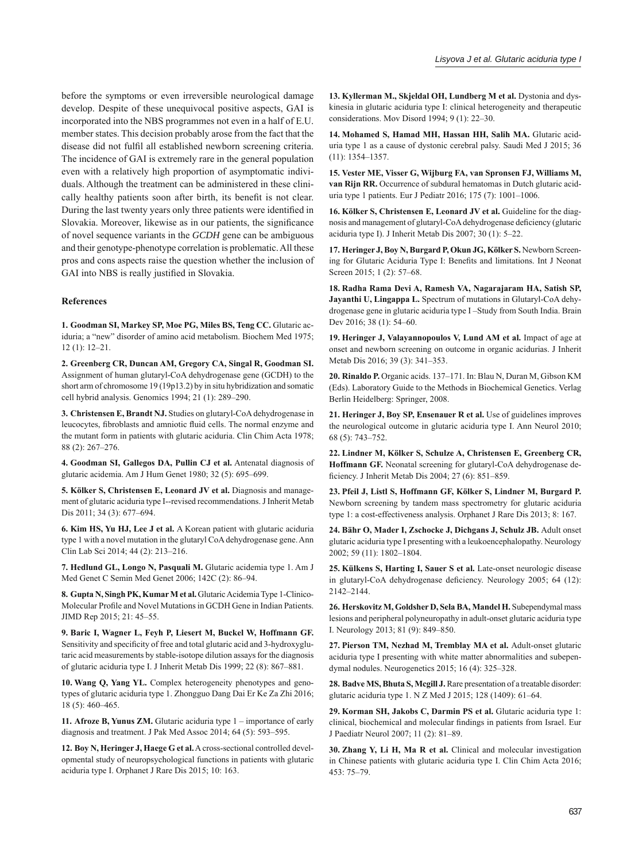before the symptoms or even irreversible neurological damage develop. Despite of these unequivocal positive aspects, GAI is incorporated into the NBS programmes not even in a half of E.U. member states. This decision probably arose from the fact that the disease did not fulfil all established newborn screening criteria. The incidence of GAI is extremely rare in the general population even with a relatively high proportion of asymptomatic individuals. Although the treatment can be administered in these clinically healthy patients soon after birth, its benefit is not clear. During the last twenty years only three patients were identified in Slovakia. Moreover, likewise as in our patients, the significance of novel sequence variants in the *GCDH* gene can be ambiguous and their genotype-phenotype correlation is problematic. All these pros and cons aspects raise the question whether the inclusion of GAI into NBS is really justified in Slovakia.

## **References**

**1. Goodman SI, Markey SP, Moe PG, Miles BS, Teng CC.** Glutaric aciduria; a "new" disorder of amino acid metabolism. Biochem Med 1975; 12 (1): 12–21.

**2. Greenberg CR, Duncan AM, Gregory CA, Singal R, Goodman SI.** Assignment of human glutaryl-CoA dehydrogenase gene (GCDH) to the short arm of chromosome 19 (19p13.2) by in situ hybridization and somatic cell hybrid analysis. Genomics 1994; 21 (1): 289–290.

**3. Christensen E, Brandt NJ.** Studies on glutaryl-CoA dehydrogenase in leucocytes, fibroblasts and amniotic fluid cells. The normal enzyme and the mutant form in patients with glutaric aciduria. Clin Chim Acta 1978; 88 (2): 267–276.

**4. Goodman SI, Gallegos DA, Pullin CJ et al.** Antenatal diagnosis of glutaric acidemia. Am J Hum Genet 1980; 32 (5): 695–699.

**5. Kölker S, Christensen E, Leonard JV et al.** Diagnosis and management of glutaric aciduria type I--revised recommendations. J Inherit Metab Dis 2011; 34 (3): 677–694.

**6. Kim HS, Yu HJ, Lee J et al.** A Korean patient with glutaric aciduria type 1 with a novel mutation in the glutaryl CoA dehydrogenase gene. Ann Clin Lab Sci 2014; 44 (2): 213–216.

**7. Hedlund GL, Longo N, Pasquali M.** Glutaric acidemia type 1. Am J Med Genet C Semin Med Genet 2006; 142C (2): 86–94.

**8. Gupta N, Singh PK, Kumar M et al.** Glutaric Acidemia Type 1-Clinico-Molecular Profile and Novel Mutations in GCDH Gene in Indian Patients. JIMD Rep 2015; 21: 45–55.

**9. Baric I, Wagner L, Feyh P, Liesert M, Buckel W, Hoffmann GF.** Sensitivity and specificity of free and total glutaric acid and 3-hydroxyglutaric acid measurements by stable-isotope dilution assays for the diagnosis of glutaric aciduria type I. J Inherit Metab Dis 1999; 22 (8): 867–881.

**10. Wang Q, Yang YL.** Complex heterogeneity phenotypes and genotypes of glutaric aciduria type 1. Zhongguo Dang Dai Er Ke Za Zhi 2016; 18 (5): 460–465.

**11. Afroze B, Yunus ZM.** Glutaric aciduria type 1 – importance of early diagnosis and treatment. J Pak Med Assoc 2014; 64 (5): 593–595.

**12. Boy N, Heringer J, Haege G et al.** A cross-sectional controlled developmental study of neuropsychological functions in patients with glutaric aciduria type I. Orphanet J Rare Dis 2015; 10: 163.

**13. Kyllerman M., Skjeldal OH, Lundberg M et al.** Dystonia and dyskinesia in glutaric aciduria type I: clinical heterogeneity and therapeutic considerations. Mov Disord 1994; 9 (1): 22–30.

**14. Mohamed S, Hamad MH, Hassan HH, Salih MA.** Glutaric aciduria type 1 as a cause of dystonic cerebral palsy. Saudi Med J 2015; 36 (11): 1354–1357.

**15. Vester ME, Visser G, Wijburg FA, van Spronsen FJ, Williams M, van Rijn RR.** Occurrence of subdural hematomas in Dutch glutaric aciduria type 1 patients. Eur J Pediatr 2016; 175 (7): 1001–1006.

**16. Kölker S, Christensen E, Leonard JV et al.** Guideline for the diagnosis and management of glutaryl-CoA dehydrogenase deficiency (glutaric aciduria type I). J Inherit Metab Dis 2007; 30 (1): 5–22.

**17. Heringer J, Boy N, Burgard P, Okun JG, Kölker S.** Newborn Screening for Glutaric Aciduria Type I: Benefits and limitations. Int J Neonat Screen 2015; 1 (2): 57–68.

**18. Radha Rama Devi A, Ramesh VA, Nagarajaram HA, Satish SP, Jayanthi U, Lingappa L.** Spectrum of mutations in Glutaryl-CoA dehydrogenase gene in glutaric aciduria type I –Study from South India. Brain Dev 2016; 38 (1): 54–60.

**19. Heringer J, Valayannopoulos V, Lund AM et al.** Impact of age at onset and newborn screening on outcome in organic acidurias. J Inherit Metab Dis 2016; 39 (3): 341–353.

**20. Rinaldo P.** Organic acids. 137–171. In: Blau N, Duran M, Gibson KM (Eds). Laboratory Guide to the Methods in Biochemical Genetics. Verlag Berlin Heidelberg: Springer, 2008.

**21. Heringer J, Boy SP, Ensenauer R et al.** Use of guidelines improves the neurological outcome in glutaric aciduria type I. Ann Neurol 2010; 68 (5): 743–752.

**22. Lindner M, Kölker S, Schulze A, Christensen E, Greenberg CR, Hoffmann GF.** Neonatal screening for glutaryl-CoA dehydrogenase deficiency. J Inherit Metab Dis 2004; 27 (6): 851-859.

**23. Pfeil J, Listl S, Hoffmann GF, Kölker S, Lindner M, Burgard P.** Newborn screening by tandem mass spectrometry for glutaric aciduria type 1: a cost-effectiveness analysis. Orphanet J Rare Dis 2013; 8: 167.

**24. Bähr O, Mader I, Zschocke J, Dichgans J, Schulz JB.** Adult onset glutaric aciduria type I presenting with a leukoencephalopathy. Neurology 2002; 59 (11): 1802–1804.

**25. Külkens S, Harting I, Sauer S et al.** Late-onset neurologic disease in glutaryl-CoA dehydrogenase deficiency. Neurology 2005; 64 (12): 2142–2144.

**26. Herskovitz M, Goldsher D, Sela BA, Mandel H.** Subependymal mass lesions and peripheral polyneuropathy in adult-onset glutaric aciduria type I. Neurology 2013; 81 (9): 849–850.

**27. Pierson TM, Nezhad M, Tremblay MA et al.** Adult-onset glutaric aciduria type I presenting with white matter abnormalities and subependymal nodules. Neurogenetics 2015; 16 (4): 325–328.

**28. Badve MS, Bhuta S, Mcgill J.** Rare presentation of a treatable disorder: glutaric aciduria type 1. N Z Med J 2015; 128 (1409): 61–64.

**29. Korman SH, Jakobs C, Darmin PS et al.** Glutaric aciduria type 1: clinical, biochemical and molecular findings in patients from Israel. Eur J Paediatr Neurol 2007; 11 (2): 81–89.

**30. Zhang Y, Li H, Ma R et al.** Clinical and molecular investigation in Chinese patients with glutaric aciduria type I. Clin Chim Acta 2016; 453: 75–79.